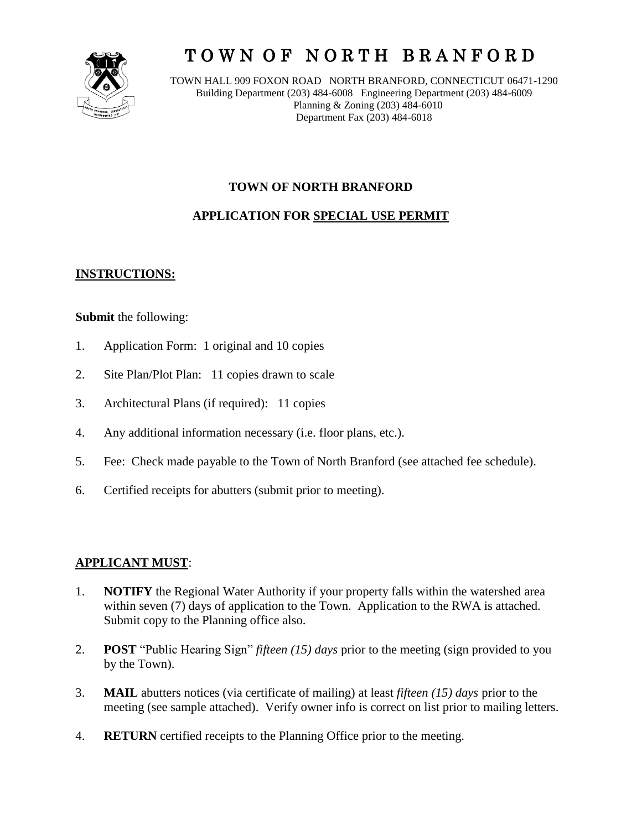

# T O W N O F N O R T H B R A N F O R D

TOWN HALL 909 FOXON ROAD NORTH BRANFORD, CONNECTICUT 06471-1290 Building Department (203) 484-6008 Engineering Department (203) 484-6009 Planning & Zoning (203) 484-6010 Department Fax (203) 484-6018

# **TOWN OF NORTH BRANFORD**

# **APPLICATION FOR SPECIAL USE PERMIT**

# **INSTRUCTIONS:**

## **Submit** the following:

- 1. Application Form: 1 original and 10 copies
- 2. Site Plan/Plot Plan: 11 copies drawn to scale
- 3. Architectural Plans (if required): 11 copies
- 4. Any additional information necessary (i.e. floor plans, etc.).
- 5. Fee: Check made payable to the Town of North Branford (see attached fee schedule).
- 6. Certified receipts for abutters (submit prior to meeting).

## **APPLICANT MUST**:

- 1. **NOTIFY** the Regional Water Authority if your property falls within the watershed area within seven (7) days of application to the Town. Application to the RWA is attached. Submit copy to the Planning office also.
- 2. **POST** "Public Hearing Sign" *fifteen (15) days* prior to the meeting (sign provided to you by the Town).
- 3. **MAIL** abutters notices (via certificate of mailing) at least *fifteen (15) days* prior to the meeting (see sample attached). Verify owner info is correct on list prior to mailing letters.
- 4. **RETURN** certified receipts to the Planning Office prior to the meeting.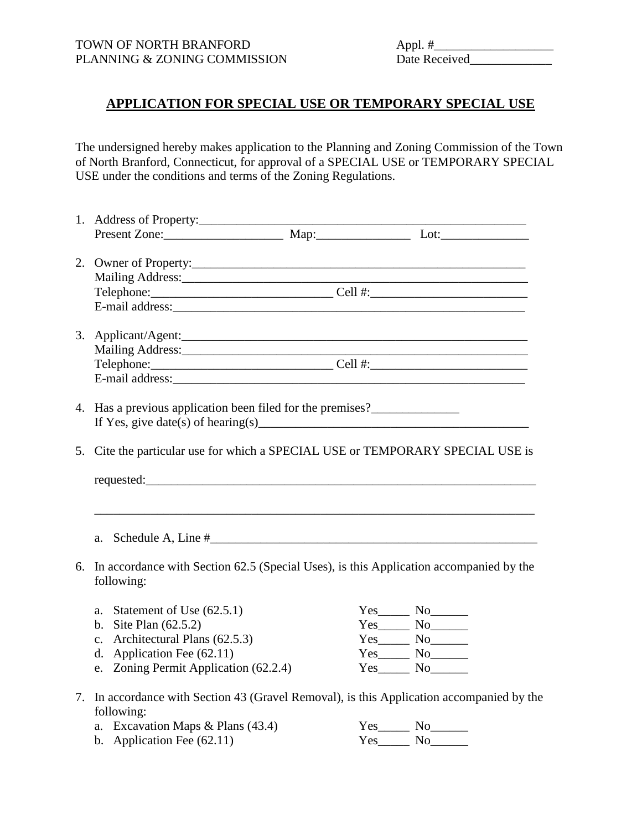# **APPLICATION FOR SPECIAL USE OR TEMPORARY SPECIAL USE**

The undersigned hereby makes application to the Planning and Zoning Commission of the Town of North Branford, Connecticut, for approval of a SPECIAL USE or TEMPORARY SPECIAL USE under the conditions and terms of the Zoning Regulations.

|  | 1. Address of Property:                                                                                                                                                                                                                                                                                                                                                                  |  |                   |
|--|------------------------------------------------------------------------------------------------------------------------------------------------------------------------------------------------------------------------------------------------------------------------------------------------------------------------------------------------------------------------------------------|--|-------------------|
|  | Present Zone: Map: Map: Lot:                                                                                                                                                                                                                                                                                                                                                             |  |                   |
|  |                                                                                                                                                                                                                                                                                                                                                                                          |  |                   |
|  |                                                                                                                                                                                                                                                                                                                                                                                          |  |                   |
|  | Telephone: Cell #: Cell #:                                                                                                                                                                                                                                                                                                                                                               |  |                   |
|  |                                                                                                                                                                                                                                                                                                                                                                                          |  |                   |
|  |                                                                                                                                                                                                                                                                                                                                                                                          |  |                   |
|  |                                                                                                                                                                                                                                                                                                                                                                                          |  |                   |
|  |                                                                                                                                                                                                                                                                                                                                                                                          |  |                   |
|  |                                                                                                                                                                                                                                                                                                                                                                                          |  |                   |
|  | 4. Has a previous application been filed for the premises?                                                                                                                                                                                                                                                                                                                               |  |                   |
|  | If Yes, give date(s) of hearing(s) $\qquad \qquad \qquad$ $\qquad \qquad$ $\qquad \qquad$ $\qquad \qquad$ $\qquad \qquad$ $\qquad \qquad$ $\qquad \qquad$ $\qquad \qquad$ $\qquad \qquad$ $\qquad \qquad$ $\qquad \qquad$ $\qquad \qquad$ $\qquad \qquad$ $\qquad \qquad$ $\qquad \qquad \qquad$ $\qquad \qquad \qquad$ $\qquad \qquad \qquad$ $\qquad \qquad \qquad$ $\qquad \qquad \q$ |  |                   |
|  |                                                                                                                                                                                                                                                                                                                                                                                          |  |                   |
|  | 5. Cite the particular use for which a SPECIAL USE or TEMPORARY SPECIAL USE is                                                                                                                                                                                                                                                                                                           |  |                   |
|  |                                                                                                                                                                                                                                                                                                                                                                                          |  |                   |
|  |                                                                                                                                                                                                                                                                                                                                                                                          |  |                   |
|  |                                                                                                                                                                                                                                                                                                                                                                                          |  |                   |
|  | a.                                                                                                                                                                                                                                                                                                                                                                                       |  |                   |
|  | 6. In accordance with Section 62.5 (Special Uses), is this Application accompanied by the<br>following:                                                                                                                                                                                                                                                                                  |  |                   |
|  | Statement of Use (62.5.1)                                                                                                                                                                                                                                                                                                                                                                |  |                   |
|  | a.                                                                                                                                                                                                                                                                                                                                                                                       |  | $Yes$ No $\qquad$ |
|  | b. Site Plan $(62.5.2)$                                                                                                                                                                                                                                                                                                                                                                  |  | $Yes$ No          |
|  | c. Architectural Plans (62.5.3)                                                                                                                                                                                                                                                                                                                                                          |  | $Yes$ No          |
|  | d. Application Fee $(62.11)$                                                                                                                                                                                                                                                                                                                                                             |  | $Yes$ No          |
|  | e. Zoning Permit Application (62.2.4)                                                                                                                                                                                                                                                                                                                                                    |  | $Yes$ No No       |
|  | 7. In accordance with Section 43 (Gravel Removal), is this Application accompanied by the<br>following:                                                                                                                                                                                                                                                                                  |  |                   |
|  | a. Excavation Maps & Plans (43.4)                                                                                                                                                                                                                                                                                                                                                        |  | $Yes$ No $\qquad$ |
|  | b. Application Fee $(62.11)$                                                                                                                                                                                                                                                                                                                                                             |  | $Yes$ No          |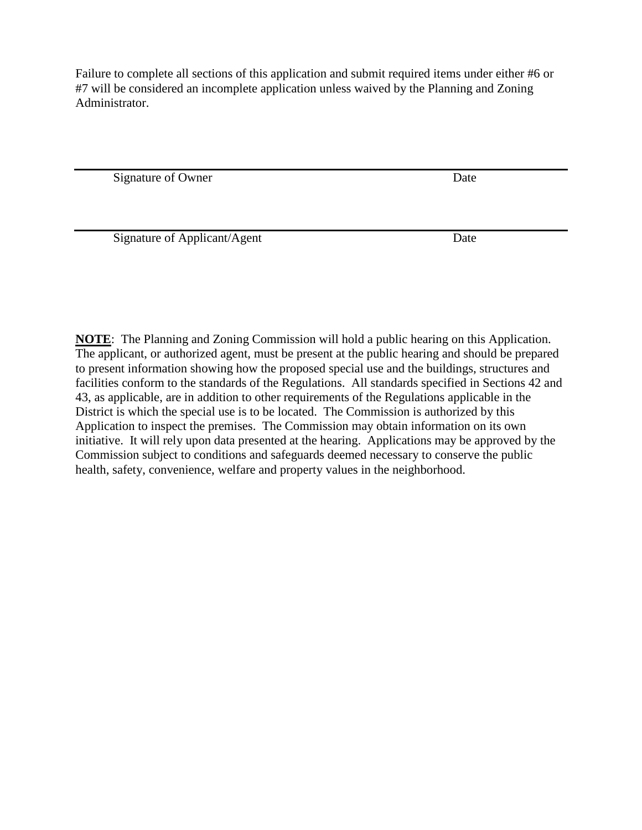Failure to complete all sections of this application and submit required items under either #6 or #7 will be considered an incomplete application unless waived by the Planning and Zoning Administrator.

Signature of Owner Date

Signature of Applicant/Agent Date

**NOTE**: The Planning and Zoning Commission will hold a public hearing on this Application. The applicant, or authorized agent, must be present at the public hearing and should be prepared to present information showing how the proposed special use and the buildings, structures and facilities conform to the standards of the Regulations. All standards specified in Sections 42 and 43, as applicable, are in addition to other requirements of the Regulations applicable in the District is which the special use is to be located. The Commission is authorized by this Application to inspect the premises. The Commission may obtain information on its own initiative. It will rely upon data presented at the hearing. Applications may be approved by the Commission subject to conditions and safeguards deemed necessary to conserve the public health, safety, convenience, welfare and property values in the neighborhood.